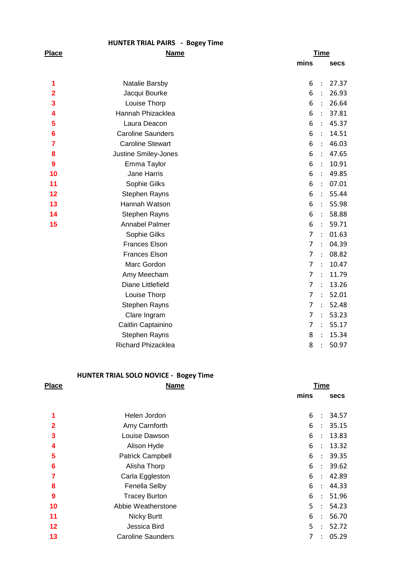|              | <b>HUNTER TRIAL PAIRS - Bogey Time</b> |                                  |             |
|--------------|----------------------------------------|----------------------------------|-------------|
| <b>Place</b> | <b>Name</b>                            |                                  | <b>Time</b> |
|              |                                        | mins                             | <b>Secs</b> |
| 1            |                                        | 6<br>$\ddot{\cdot}$              | 27.37       |
| 2            | Natalie Barsby                         | 6<br>$\ddot{\cdot}$              | 26.93       |
|              | Jacqui Bourke                          | 6<br>$\ddot{\cdot}$              | 26.64       |
| 3            | Louise Thorp                           |                                  |             |
| 4            | Hannah Phizacklea                      | 6<br>$\ddot{\cdot}$              | 37.81       |
| 5            | Laura Deacon                           | 6<br>$\ddot{\cdot}$              | 45.37       |
| 6            | <b>Caroline Saunders</b>               | 6<br>$\ddot{\cdot}$              | 14.51       |
| 7            | <b>Caroline Stewart</b>                | 6<br>$\ddot{\cdot}$              | 46.03       |
| 8            | Justine Smiley-Jones                   | 6<br>$\ddot{\cdot}$              | 47.65       |
| 9            | Emma Taylor                            | 6<br>$\ddot{\cdot}$              | 10.91       |
| 10           | Jane Harris                            | 6<br>$\cdot$                     | 49.85       |
| 11           | Sophie Gilks                           | 6<br>$\ddot{\cdot}$              | 07.01       |
| 12           | Stephen Rayns                          | 6<br>$\ddot{\cdot}$              | 55.44       |
| 13           | Hannah Watson                          | 6<br>$\ddot{\cdot}$              | 55.98       |
| 14           | <b>Stephen Rayns</b>                   | 6<br>$\ddot{\cdot}$              | 58.88       |
| 15           | Annabel Palmer                         | 6<br>$\cdot$ :                   | 59.71       |
|              | Sophie Gilks                           | $\overline{7}$<br>$\ddot{\cdot}$ | 01.63       |
|              | <b>Frances Elson</b>                   | $\overline{7}$<br>$\ddot{\cdot}$ | 04.39       |
|              | <b>Frances Elson</b>                   | $\overline{7}$<br>$\ddot{\cdot}$ | 08.82       |
|              | Marc Gordon                            | $\overline{7}$<br>$\ddot{\cdot}$ | 10.47       |
|              | Amy Meecham                            | $\overline{7}$<br>$\ddot{\cdot}$ | 11.79       |
|              | Diane Littlefield                      | $\overline{7}$<br>$\ddot{\cdot}$ | 13.26       |
|              | Louise Thorp                           | $\overline{7}$<br>$\ddot{\cdot}$ | 52.01       |
|              | <b>Stephen Rayns</b>                   | $\overline{7}$<br>$\ddot{\cdot}$ | 52.48       |
|              | Clare Ingram                           | $\overline{7}$<br>$\ddot{\cdot}$ | 53.23       |
|              | Caitlin Captainino                     | $\overline{7}$<br>$\cdot$        | 55.17       |
|              | <b>Stephen Rayns</b>                   | 8<br>$\ddot{\cdot}$              | 15.34       |
|              |                                        |                                  |             |
|              | <b>Richard Phizacklea</b>              | 8<br>$\cdot$                     | 50.97       |

## **HUNTER TRIAL SOLO NOVICE - Bogey Time**

| <b>Place</b>            | <b>Name</b>              | <b>Time</b> |                      |             |
|-------------------------|--------------------------|-------------|----------------------|-------------|
|                         |                          | mins        |                      | <b>secs</b> |
| 1                       | Helen Jordon             | 6           | $\ddot{\phantom{a}}$ | 34.57       |
| $\overline{2}$          | Amy Carnforth            | 6           | $\ddot{\phantom{a}}$ | 35.15       |
| $\overline{\mathbf{3}}$ | Louise Dawson            | 6           | $\ddot{\phantom{a}}$ | 13.83       |
| 4                       | Alison Hyde              | 6           | $\ddot{\cdot}$       | 13.32       |
| 5                       | <b>Patrick Campbell</b>  | 6           | $\ddot{\phantom{a}}$ | 39.35       |
| 6                       | Alisha Thorp             | 6           | $\ddot{\cdot}$       | 39.62       |
| 7                       | Carla Eggleston          | 6           | $\ddot{\phantom{a}}$ | 42.89       |
| 8                       | Fenella Selby            | 6           | ÷                    | 44.33       |
| 9                       | <b>Tracey Burton</b>     | 6           | ÷                    | 51.96       |
| 10                      | Abbie Weatherstone       | 5           | $\ddot{\phantom{a}}$ | 54.23       |
| 11                      | <b>Nicky Burtt</b>       | 6           | $\ddot{\phantom{a}}$ | 56.70       |
| 12                      | Jessica Bird             | 5           | $\ddot{\cdot}$       | 52.72       |
| 13                      | <b>Caroline Saunders</b> | 7           | $\ddot{\phantom{a}}$ | 05.29       |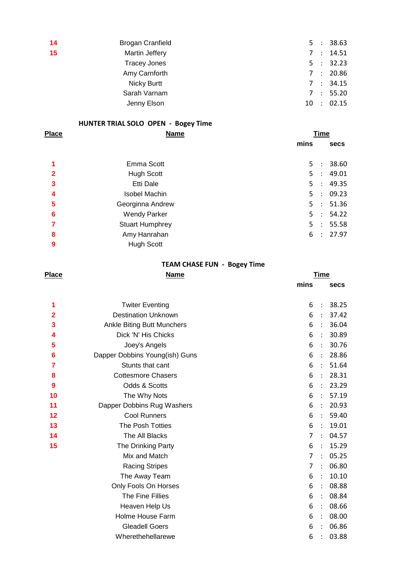| $\overline{14}$ | <b>Brogan Cranfield</b> |  | 5 : 38.63  |
|-----------------|-------------------------|--|------------|
| 15              | Martin Jeffery          |  | 7 : 14.51  |
|                 | <b>Tracey Jones</b>     |  | 5 : 32.23  |
|                 | Amy Carnforth           |  | 7:20.86    |
|                 | <b>Nicky Burtt</b>      |  | 7 : 34.15  |
|                 | Sarah Varnam            |  | 7 : 55.20  |
|                 | Jenny Elson             |  | 10 : 02.15 |

## **HUNTER TRIAL SOLO OPEN - Bogey Time**

| <b>Place</b>   | <b>Name</b>            | <b>Time</b>                                     |
|----------------|------------------------|-------------------------------------------------|
|                |                        | mins<br>secs                                    |
|                | Emma Scott             | 38.60<br>5:                                     |
| $\overline{2}$ | <b>Hugh Scott</b>      | 49.01<br>5:                                     |
| 3              | Etti Dale              | 5:<br>49.35                                     |
| 4              | <b>Isobel Machin</b>   | 09.23<br>5 <sup>5</sup><br>$\ddot{\phantom{a}}$ |
| 5              | Georginna Andrew       | 51.36<br>5:                                     |
| 6              | <b>Wendy Parker</b>    | 5:<br>54.22                                     |
| 7              | <b>Stuart Humphrey</b> | 55.58<br>5:                                     |
| 8              | Amy Hanrahan           | 27.97<br>6<br>$\mathbb{R}^n$                    |
| 9              | <b>Hugh Scott</b>      |                                                 |

## **TEAM CHASE FUN - Bogey Time**

| <b>Place</b> | <u>Name</u>                    |                | <u>Time</u>          |             |  |  |
|--------------|--------------------------------|----------------|----------------------|-------------|--|--|
|              |                                | mins           |                      | <b>Secs</b> |  |  |
| 1            | <b>Twiter Eventing</b>         | 6              | $\ddot{\cdot}$       | 38.25       |  |  |
| 2            | <b>Destination Unknown</b>     | 6              | $\ddot{\cdot}$       | 37.42       |  |  |
| 3            | Ankle Biting Butt Munchers     | 6              | $\ddot{\cdot}$       | 36.04       |  |  |
| 4            | Dick 'N' His Chicks            | 6              | $\ddot{\cdot}$       | 30.89       |  |  |
| 5            | Joey's Angels                  | 6              | $\ddot{\cdot}$       | 30.76       |  |  |
| 6            | Dapper Dobbins Young(ish) Guns | 6              | $\ddot{\cdot}$       | 28.86       |  |  |
| 7            | Stunts that cant               | 6              | $\ddot{\phantom{a}}$ | 51.64       |  |  |
| 8            | <b>Cottesmore Chasers</b>      | 6              | $\ddot{\cdot}$       | 28.31       |  |  |
| 9            | Odds & Scotts                  | 6              | $\ddot{\cdot}$       | 23.29       |  |  |
| 10           | The Why Nots                   | 6              | $\ddot{\cdot}$       | 57.19       |  |  |
| 11           | Dapper Dobbins Rug Washers     | 6              | $\ddot{\cdot}$       | 20.93       |  |  |
| 12           | <b>Cool Runners</b>            | 6              | $\ddot{\cdot}$       | 59.40       |  |  |
| 13           | The Posh Totties               | 6              | $\ddot{\phantom{a}}$ | 19.01       |  |  |
| 14           | The All Blacks                 | 7              | $\ddot{\cdot}$       | 04.57       |  |  |
| 15           | The Drinking Party             | 6              | $\ddot{\phantom{1}}$ | 15.29       |  |  |
|              | Mix and Match                  | $\overline{7}$ | $\ddot{\cdot}$       | 05.25       |  |  |
|              | <b>Racing Stripes</b>          | 7              | $\ddot{\cdot}$       | 06.80       |  |  |
|              | The Away Team                  | 6              | $\ddot{\cdot}$       | 10.10       |  |  |
|              | Only Fools On Horses           | 6              | $\ddot{\cdot}$       | 08.88       |  |  |
|              | The Fine Fillies               | 6              | $\ddot{\phantom{a}}$ | 08.84       |  |  |
|              | Heaven Help Us                 | 6              | $\ddot{\cdot}$       | 08.66       |  |  |
|              | Holme House Farm               | 6              | $\ddot{\cdot}$       | 08.00       |  |  |
|              | <b>Gleadell Goers</b>          | 6              | $\cdot$              | 06.86       |  |  |
|              | Wherethehellarewe              | 6              |                      | 03.88       |  |  |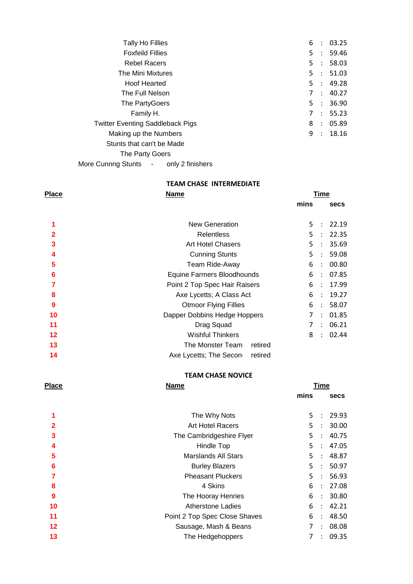| <b>Tally Ho Fillies</b>                 | 6  | $\ddot{\cdot}$              | 03.25     |
|-----------------------------------------|----|-----------------------------|-----------|
| <b>Foxfeild Fillies</b>                 | 5  | $\sim 100$                  | 59.46     |
| <b>Rebel Racers</b>                     | 5. |                             | : 58.03   |
| The Mini Mixtures                       | 5. | $\mathcal{L}$               | 51.03     |
| <b>Hoof Hearted</b>                     |    |                             | 5 : 49.28 |
| The Full Nelson                         | 7  |                             | : 40.27   |
| The PartyGoers                          | 5. | $\sim$ 100                  | 36.90     |
| Family H.                               | 7  | $\mathcal{L}_{\mathcal{A}}$ | 55.23     |
| <b>Twitter Eventing Saddleback Pigs</b> | 8  |                             | : 05.89   |
| Making up the Numbers                   | 9  | $\mathcal{L}$               | 18.16     |
| Stunts that can't be Made               |    |                             |           |
| The Party Goers                         |    |                             |           |

More Cunnng Stunts - only 2 finishers

**TEAM CHASE INTERMEDIATE**

| <b>Place</b>    | <b>Name</b>                       |      | Time                 |             |  |
|-----------------|-----------------------------------|------|----------------------|-------------|--|
|                 |                                   | mins |                      | <b>secs</b> |  |
|                 | <b>New Generation</b>             | 5.   | $\ddot{\cdot}$       | 22.19       |  |
| $\overline{2}$  | <b>Relentless</b>                 | 5    | ÷                    | 22.35       |  |
| 3               | <b>Art Hotel Chasers</b>          | 5    | $\ddot{\phantom{a}}$ | 35.69       |  |
| 4               | <b>Cunning Stunts</b>             | 5.   | $\ddot{\phantom{a}}$ | 59.08       |  |
| 5               | Team Ride-Away                    | 6    | $\ddot{\phantom{a}}$ | 00.80       |  |
| $6\phantom{1}6$ | Equine Farmers Bloodhounds        | 6    | $\ddot{\phantom{a}}$ | 07.85       |  |
| 7               | Point 2 Top Spec Hair Raisers     | 6    | $\mathbb{R}^2$       | 17.99       |  |
| 8               | Axe Lycetts; A Class Act          | 6    | $\cdot$ :            | 19.27       |  |
| 9               | <b>Otmoor Flying Fillies</b>      | 6    | $\ddot{\phantom{a}}$ | 58.07       |  |
| 10              | Dapper Dobbins Hedge Hoppers      | 7    | $\ddot{\phantom{a}}$ | 01.85       |  |
| 11              | Drag Squad                        | 7    | $\ddot{\phantom{a}}$ | 06.21       |  |
| $12 \,$         | <b>Wishful Thinkers</b>           | 8    | $\sim$               | 02.44       |  |
| 13              | The Monster Team<br>retired       |      |                      |             |  |
| 14              | Axe Lycetts; The Secon<br>retired |      |                      |             |  |
|                 |                                   |      |                      |             |  |

## **TEAM CHASE NOVICE**

| <b>Place</b>         | <u>Name</u>                   |      | <b>Time</b>          |             |
|----------------------|-------------------------------|------|----------------------|-------------|
|                      |                               | mins |                      | <b>secs</b> |
| $\blacktriangleleft$ | The Why Nots                  | 5.   | $\ddot{\phantom{a}}$ | 29.93       |
| $\overline{2}$       | <b>Art Hotel Racers</b>       | 5.   | $\ddot{\cdot}$       | 30.00       |
| 3                    | The Cambridgeshire Flyer      | 5.   | $\ddot{\cdot}$       | 40.75       |
| 4                    | Hindle Top                    | 5    | $\ddot{\phantom{a}}$ | 47.05       |
| 5                    | <b>Marslands All Stars</b>    | 5.   | $\ddot{\phantom{a}}$ | 48.87       |
| 6                    | <b>Burley Blazers</b>         | 5    | $\ddot{\phantom{a}}$ | 50.97       |
| 7                    | <b>Pheasant Pluckers</b>      | 5    | $\ddot{\phantom{a}}$ | 56.93       |
| 8                    | 4 Skins                       | 6    | ÷                    | 27.08       |
| 9                    | The Hooray Henries            | 6    | $\ddot{\phantom{a}}$ | 30.80       |
| 10                   | <b>Atherstone Ladies</b>      | 6    | $\ddot{\phantom{a}}$ | 42.21       |
| 11                   | Point 2 Top Spec Close Shaves | 6    | $\ddot{\phantom{a}}$ | 48.50       |
| 12                   | Sausage, Mash & Beans         | 7    | $\ddot{\phantom{a}}$ | 08.08       |
| 13                   | The Hedgehoppers              | 7    | $\ddot{\phantom{a}}$ | 09.35       |